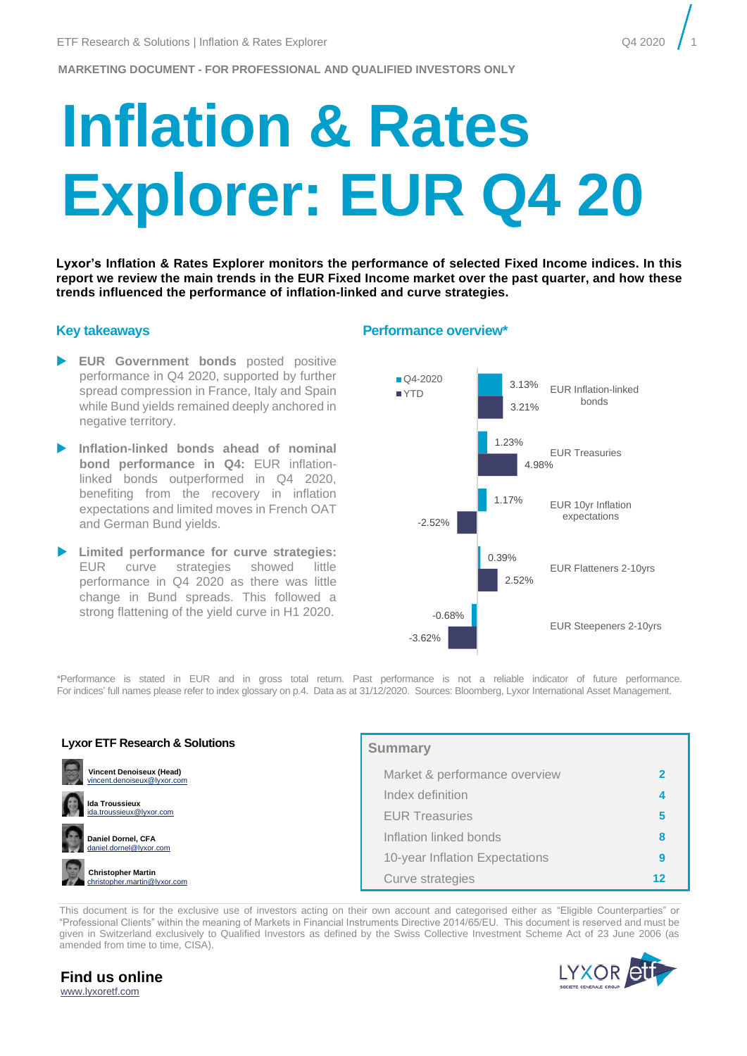# **Inflation & Rates Explorer: EUR Q4 20**

**Lyxor's Inflation & Rates Explorer monitors the performance of selected Fixed Income indices. In this report we review the main trends in the EUR Fixed Income market over the past quarter, and how these trends influenced the performance of inflation-linked and curve strategies.** 

- **EUR Government bonds** posted positive performance in Q4 2020, supported by further spread compression in France, Italy and Spain while Bund yields remained deeply anchored in negative territory.
- **Inflation-linked bonds ahead of nominal bond performance in Q4:** EUR inflationlinked bonds outperformed in Q4 2020, benefiting from the recovery in inflation expectations and limited moves in French OAT and German Bund yields.
- **Limited performance for curve strategies:**  EUR curve strategies showed little performance in Q4 2020 as there was little change in Bund spreads. This followed a strong flattening of the yield curve in H1 2020.

#### **Key takeaways Performance overview\***



\*Performance is stated in EUR and in gross total return. Past performance is not a reliable indicator of future performance. For indices' full names please refer to index glossary on p.4. Data as at 31/12/2020. Sources: Bloomberg, Lyxor International Asset Management.

| <b>Lyxor ETF Research &amp; Solutions</b>                      | <b>Summary</b>                 |  |
|----------------------------------------------------------------|--------------------------------|--|
| <b>Vincent Denoiseux (Head)</b><br>vincent.denoiseux@lyxor.com | Market & performance overview  |  |
| <b>Ida Troussieux</b>                                          | Index definition               |  |
| ida.troussieux@lyxor.com                                       | <b>EUR Treasuries</b>          |  |
| G<br>Daniel Dornel, CFA<br>daniel.dornel@lyxor.com             | Inflation linked bonds         |  |
|                                                                | 10-year Inflation Expectations |  |
| <b>Christopher Martin</b><br>christopher.martin@lvxor.com      | Curve strategies               |  |

This document is for the exclusive use of investors acting on their own account and categorised either as "Eligible Counterparties" or "Professional Clients" within the meaning of Markets in Financial Instruments Directive 2014/65/EU. This document is reserved and must be given in Switzerland exclusively to Qualified Investors as defined by the Swiss Collective Investment Scheme Act of 23 June 2006 (as amended from time to time, CISA).

**Find us online** [www.lyxoretf.com](file://///EUR.MSD.WORLD.SOCGEN/groupdir/SGCIB/FR/LYXOR-ETF-RESSOL/research-and-solutions/1.publications/6.tactical-expert-view/Coronavirus/www.lyxoretf.com)

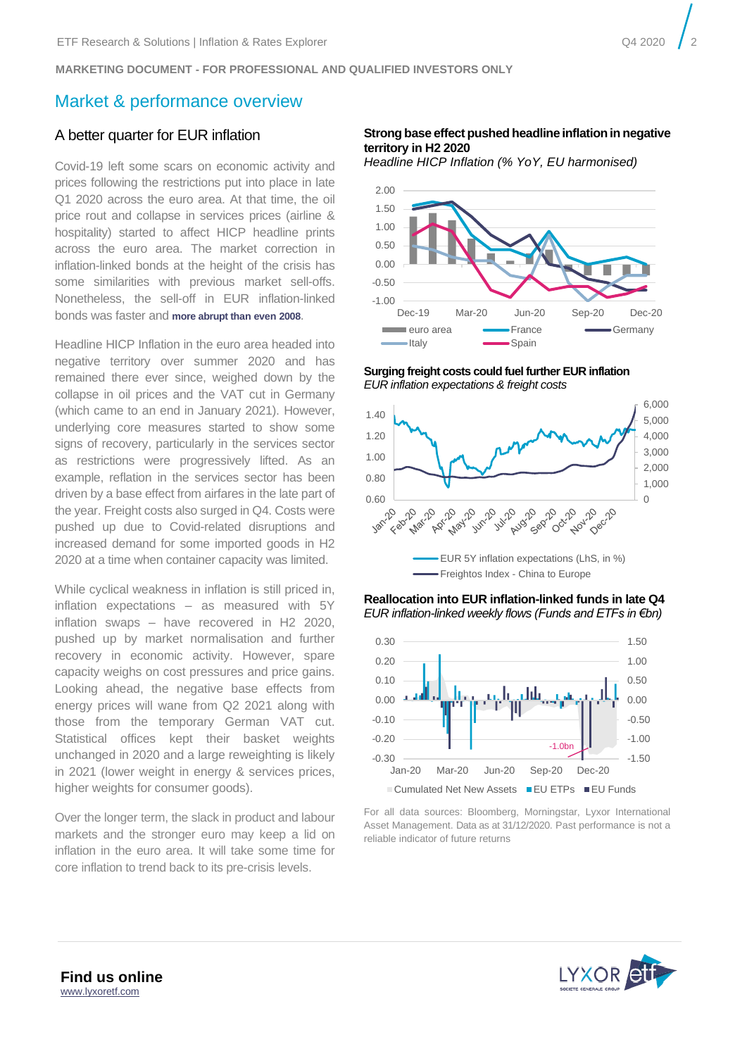# <span id="page-1-0"></span>Market & performance overview

## A better quarter for EUR inflation

Covid-19 left some scars on economic activity and prices following the restrictions put into place in late Q1 2020 across the euro area. At that time, the oil price rout and collapse in services prices (airline & hospitality) started to affect HICP headline prints across the euro area. The market correction in inflation-linked bonds at the height of the crisis has some similarities with previous market sell-offs. Nonetheless, the sell-off in EUR inflation-linked bonds was faster and **[more abrupt than](https://liveshareeu1.seismic.com/i/124Qpy1UsBsOTyg03LPEK371FohDIo45bPyUVnRMo5I___GPFtZ55J7YUZXCYZmkMY33wmQZ0CtPAHxu57rMdyo0iGbA4r4oIDCqAlCeRIDRwEQUALSIGN) even 2008**.

Headline HICP Inflation in the euro area headed into negative territory over summer 2020 and has remained there ever since, weighed down by the collapse in oil prices and the VAT cut in Germany (which came to an end in January 2021). However, underlying core measures started to show some signs of recovery, particularly in the services sector as restrictions were progressively lifted. As an example, reflation in the services sector has been driven by a base effect from airfares in the late part of the year. Freight costs also surged in Q4. Costs were pushed up due to Covid-related disruptions and increased demand for some imported goods in H2 2020 at a time when container capacity was limited.

While cyclical weakness in inflation is still priced in, inflation expectations – as measured with 5Y inflation swaps – have recovered in H2 2020, pushed up by market normalisation and further recovery in economic activity. However, spare capacity weighs on cost pressures and price gains. Looking ahead, the negative base effects from energy prices will wane from Q2 2021 along with those from the temporary German VAT cut. Statistical offices kept their basket weights unchanged in 2020 and a large reweighting is likely in 2021 (lower weight in energy & services prices, higher weights for consumer goods).

Over the longer term, the slack in product and labour markets and the stronger euro may keep a lid on inflation in the euro area. It will take some time for core inflation to trend back to its pre-crisis levels.

#### **Strong base effect pushed headline inflation in negative territory in H2 2020**

*Headline HICP Inflation (% YoY, EU harmonised)*



**Surging freight costs could fuel further EUR inflation**  *EUR inflation expectations & freight costs* 







For all data sources: Bloomberg, Morningstar, Lyxor International Asset Management. Data as at 31/12/2020. Past performance is not a reliable indicator of future returns

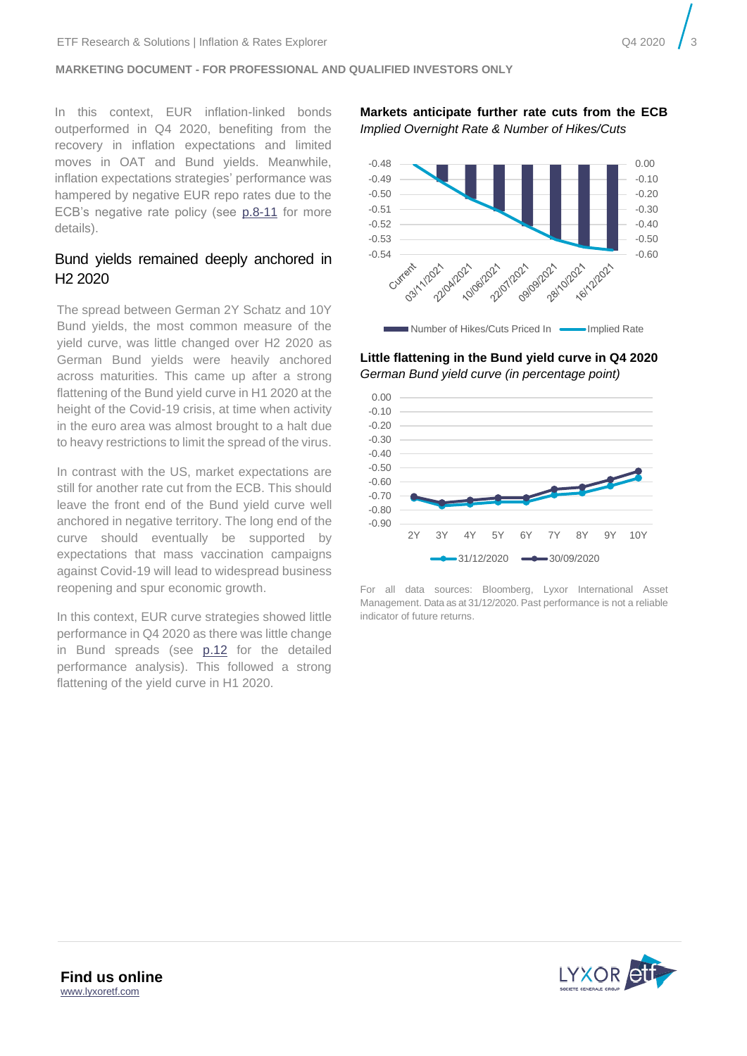In this context, EUR inflation-linked bonds outperformed in Q4 2020, benefiting from the recovery in inflation expectations and limited moves in OAT and Bund yields. Meanwhile, inflation expectations strategies' performance was hampered by negative EUR repo rates due to the ECB's negative rate policy (see p[.8-11](#page-7-0) for more details).

# Bund yields remained deeply anchored in H2 2020

The spread between German 2Y Schatz and 10Y Bund yields, the most common measure of the yield curve, was little changed over H2 2020 as German Bund yields were heavily anchored across maturities. This came up after a strong flattening of the Bund yield curve in H1 2020 at the height of the Covid-19 crisis, at time when activity in the euro area was almost brought to a halt due to heavy restrictions to limit the spread of the virus.

In contrast with the US, market expectations are still for another rate cut from the ECB. This should leave the front end of the Bund yield curve well anchored in negative territory. The long end of the curve should eventually be supported by expectations that mass vaccination campaigns against Covid-19 will lead to widespread business reopening and spur economic growth.

In this context, EUR curve strategies showed little performance in Q4 2020 as there was little change in Bund spreads (see [p.12](#page-11-0) for the detailed performance analysis). This followed a strong flattening of the yield curve in H1 2020.

**Markets anticipate further rate cuts from the ECB** *Implied Overnight Rate & Number of Hikes/Cuts*



**Little flattening in the Bund yield curve in Q4 2020** *German Bund yield curve (in percentage point)*



For all data sources: Bloomberg, Lyxor International Asset Management. Data as at 31/12/2020. Past performance is not a reliable indicator of future returns.

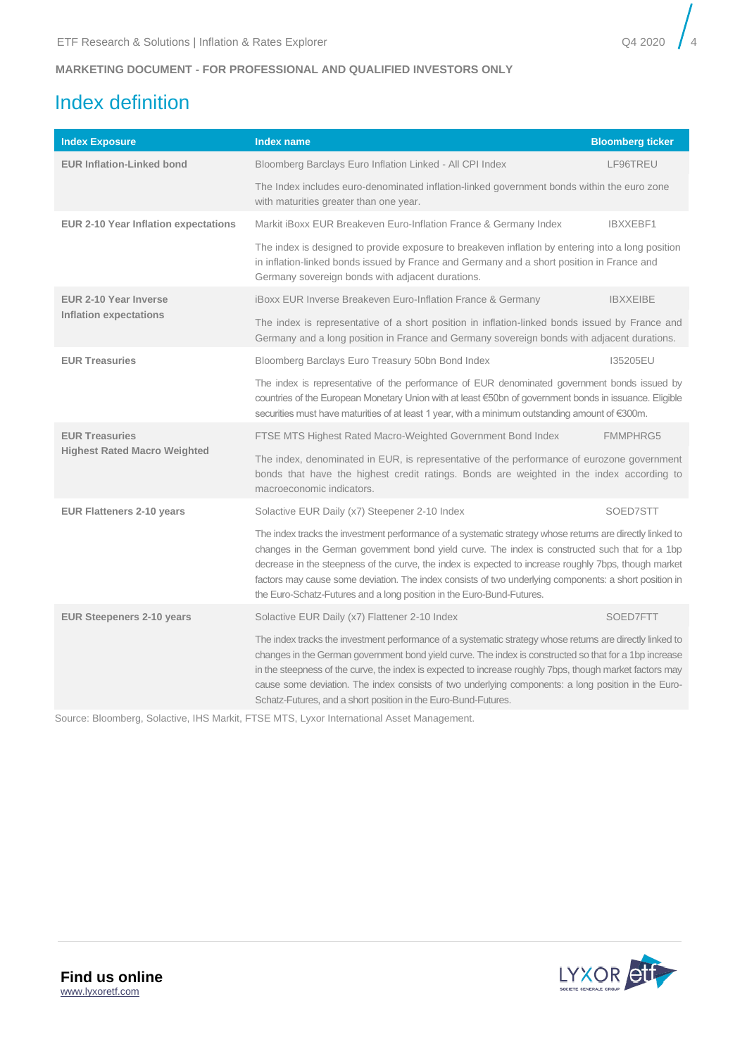# <span id="page-3-0"></span>Index definition

| <b>Index Exposure</b>                | <b>Index name</b>                                                                                                                                                                                                                                                                                                                                                                                                                                                                                        | <b>Bloomberg ticker</b> |  |  |  |  |  |
|--------------------------------------|----------------------------------------------------------------------------------------------------------------------------------------------------------------------------------------------------------------------------------------------------------------------------------------------------------------------------------------------------------------------------------------------------------------------------------------------------------------------------------------------------------|-------------------------|--|--|--|--|--|
| <b>EUR Inflation-Linked bond</b>     | Bloomberg Barclays Euro Inflation Linked - All CPI Index                                                                                                                                                                                                                                                                                                                                                                                                                                                 | LF96TREU                |  |  |  |  |  |
|                                      | The Index includes euro-denominated inflation-linked government bonds within the euro zone<br>with maturities greater than one year.                                                                                                                                                                                                                                                                                                                                                                     |                         |  |  |  |  |  |
| EUR 2-10 Year Inflation expectations | Markit iBoxx EUR Breakeven Euro-Inflation France & Germany Index                                                                                                                                                                                                                                                                                                                                                                                                                                         | IBXXEBF1                |  |  |  |  |  |
|                                      | The index is designed to provide exposure to breakeven inflation by entering into a long position<br>in inflation-linked bonds issued by France and Germany and a short position in France and<br>Germany sovereign bonds with adjacent durations.                                                                                                                                                                                                                                                       |                         |  |  |  |  |  |
| <b>EUR 2-10 Year Inverse</b>         | iBoxx EUR Inverse Breakeven Euro-Inflation France & Germany                                                                                                                                                                                                                                                                                                                                                                                                                                              | <b>IBXXEIBE</b>         |  |  |  |  |  |
| <b>Inflation expectations</b>        | The index is representative of a short position in inflation-linked bonds issued by France and<br>Germany and a long position in France and Germany sovereign bonds with adjacent durations.                                                                                                                                                                                                                                                                                                             |                         |  |  |  |  |  |
| <b>EUR Treasuries</b>                | Bloomberg Barclays Euro Treasury 50bn Bond Index                                                                                                                                                                                                                                                                                                                                                                                                                                                         | 135205EU                |  |  |  |  |  |
|                                      | The index is representative of the performance of EUR denominated government bonds issued by<br>countries of the European Monetary Union with at least €50bn of government bonds in issuance. Eligible<br>securities must have maturities of at least 1 year, with a minimum outstanding amount of €300m.                                                                                                                                                                                                |                         |  |  |  |  |  |
| <b>EUR Treasuries</b>                | FTSE MTS Highest Rated Macro-Weighted Government Bond Index                                                                                                                                                                                                                                                                                                                                                                                                                                              | <b>FMMPHRG5</b>         |  |  |  |  |  |
| <b>Highest Rated Macro Weighted</b>  | The index, denominated in EUR, is representative of the performance of eurozone government<br>bonds that have the highest credit ratings. Bonds are weighted in the index according to<br>macroeconomic indicators.                                                                                                                                                                                                                                                                                      |                         |  |  |  |  |  |
| <b>EUR Flatteners 2-10 years</b>     | Solactive EUR Daily (x7) Steepener 2-10 Index                                                                                                                                                                                                                                                                                                                                                                                                                                                            | SOED7STT                |  |  |  |  |  |
|                                      | The index tracks the investment performance of a systematic strategy whose returns are directly linked to<br>changes in the German government bond yield curve. The index is constructed such that for a 1bp<br>decrease in the steepness of the curve, the index is expected to increase roughly 7bps, though market<br>factors may cause some deviation. The index consists of two underlying components: a short position in<br>the Euro-Schatz-Futures and a long position in the Euro-Bund-Futures. |                         |  |  |  |  |  |
| <b>EUR Steepeners 2-10 years</b>     | Solactive EUR Daily (x7) Flattener 2-10 Index                                                                                                                                                                                                                                                                                                                                                                                                                                                            | SOED7FTT                |  |  |  |  |  |
|                                      | The index tracks the investment performance of a systematic strategy whose returns are directly linked to<br>changes in the German government bond yield curve. The index is constructed so that for a 1bp increase<br>in the steepness of the curve, the index is expected to increase roughly 7bps, though market factors may<br>cause some deviation. The index consists of two underlying components: a long position in the Euro-<br>Schatz-Futures, and a short position in the Euro-Bund-Futures. |                         |  |  |  |  |  |

Source: Bloomberg, Solactive, IHS Markit, FTSE MTS, Lyxor International Asset Management.

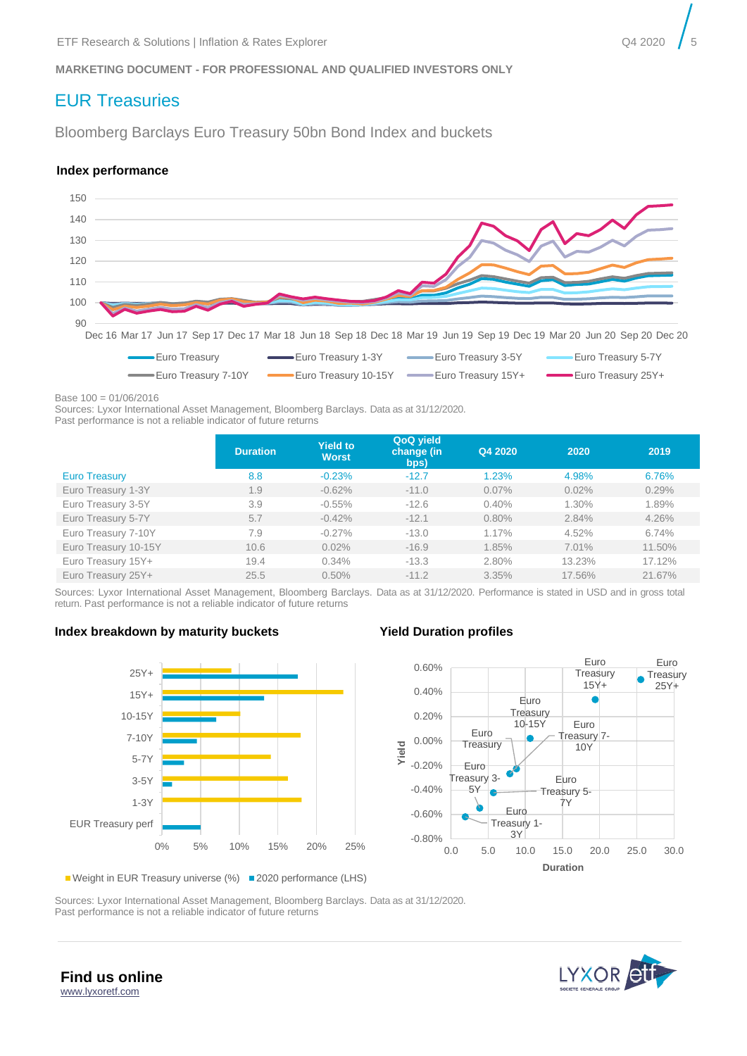# <span id="page-4-0"></span>EUR Treasuries

Bloomberg Barclays Euro Treasury 50bn Bond Index and buckets

#### **Index performance**



Base 100 = 01/06/2016

Sources: Lyxor International Asset Management, Bloomberg Barclays. Data as at 31/12/2020.

Past performance is not a reliable indicator of future returns

|                      | <b>Duration</b> | <b>Yield to</b><br><b>Worst</b> | QoQ yield<br>change (in<br>bps) | Q4 2020 | 2020   | 2019   |
|----------------------|-----------------|---------------------------------|---------------------------------|---------|--------|--------|
| <b>Euro Treasury</b> | 8.8             | $-0.23%$                        | $-12.7$                         | 1.23%   | 4.98%  | 6.76%  |
| Euro Treasury 1-3Y   | 1.9             | $-0.62%$                        | $-11.0$                         | 0.07%   | 0.02%  | 0.29%  |
| Euro Treasury 3-5Y   | 3.9             | $-0.55%$                        | $-12.6$                         | 0.40%   | 1.30%  | 1.89%  |
| Euro Treasury 5-7Y   | 5.7             | $-0.42%$                        | $-12.1$                         | 0.80%   | 2.84%  | 4.26%  |
| Euro Treasury 7-10Y  | 7.9             | $-0.27%$                        | $-13.0$                         | 1.17%   | 4.52%  | 6.74%  |
| Euro Treasury 10-15Y | 10.6            | 0.02%                           | $-16.9$                         | 1.85%   | 7.01%  | 11.50% |
| Euro Treasury 15Y+   | 19.4            | 0.34%                           | $-13.3$                         | 2.80%   | 13.23% | 17.12% |
| Euro Treasury 25Y+   | 25.5            | 0.50%                           | $-11.2$                         | 3.35%   | 17.56% | 21.67% |

Sources: Lyxor International Asset Management, Bloomberg Barclays. Data as at 31/12/2020. Performance is stated in USD and in gross total return. Past performance is not a reliable indicator of future returns

#### **Index breakdown by maturity buckets Yield Duration profiles**





■ Weight in EUR Treasury universe (%) ■ 2020 performance (LHS)

Sources: Lyxor International Asset Management, Bloomberg Barclays. Data as at 31/12/2020. Past performance is not a reliable indicator of future returns



**Find us online** [www.lyxoretf.com](file://///EUR.MSD.WORLD.SOCGEN/groupdir/SGCIB/FR/LYXOR-ETF-RESSOL/research-and-solutions/1.publications/6.tactical-expert-view/Coronavirus/www.lyxoretf.com)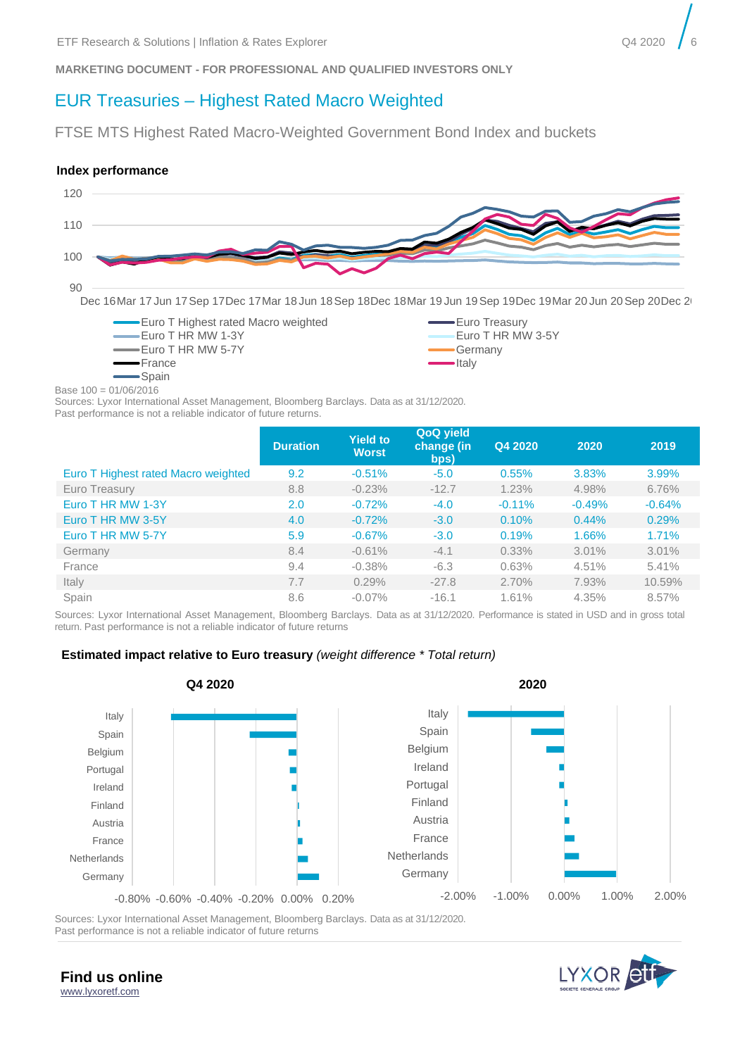# EUR Treasuries – Highest Rated Macro Weighted

FTSE MTS Highest Rated Macro-Weighted Government Bond Index and buckets

#### **Index performance**



Dec 16Mar 17 Jun 17Sep 17Dec 17Mar 18 Jun 18Sep 18Dec 18Mar 19 Jun 19Sep 19Dec 19Mar 20 Jun 20Sep 20Dec 20



Base 100 = 01/06/2016

Sources: Lyxor International Asset Management, Bloomberg Barclays. Data as at 31/12/2020.

|  | Past performance is not a reliable indicator of future returns. |  |  |  |  |  |  |  |  |
|--|-----------------------------------------------------------------|--|--|--|--|--|--|--|--|
|--|-----------------------------------------------------------------|--|--|--|--|--|--|--|--|

|                                     | <b>Duration</b> | <b>Yield to</b><br><b>Worst</b> | <b>QoQ yield</b><br><b>change</b> (in<br>bps) | Q4 2020  | 2020     | 2019     |
|-------------------------------------|-----------------|---------------------------------|-----------------------------------------------|----------|----------|----------|
| Euro T Highest rated Macro weighted | 9.2             | $-0.51%$                        | $-5.0$                                        | 0.55%    | 3.83%    | 3.99%    |
| Euro Treasury                       | 8.8             | $-0.23%$                        | $-12.7$                                       | 1.23%    | 4.98%    | 6.76%    |
| Euro T HR MW 1-3Y                   | 2.0             | $-0.72%$                        | $-4.0$                                        | $-0.11%$ | $-0.49%$ | $-0.64%$ |
| Euro T HR MW 3-5Y                   | 4.0             | $-0.72%$                        | $-3.0$                                        | 0.10%    | 0.44%    | 0.29%    |
| Euro T HR MW 5-7Y                   | 5.9             | $-0.67%$                        | $-3.0$                                        | 0.19%    | 1.66%    | 1.71%    |
| Germany                             | 8.4             | $-0.61%$                        | $-4.1$                                        | 0.33%    | 3.01%    | 3.01%    |
| France                              | 9.4             | $-0.38%$                        | $-6.3$                                        | 0.63%    | 4.51%    | 5.41%    |
| Italy                               | 7.7             | 0.29%                           | $-27.8$                                       | 2.70%    | 7.93%    | 10.59%   |
| Spain                               | 8.6             | $-0.07\%$                       | $-16.1$                                       | 1.61%    | 4.35%    | 8.57%    |

Sources: Lyxor International Asset Management, Bloomberg Barclays. Data as at 31/12/2020. Performance is stated in USD and in gross total return. Past performance is not a reliable indicator of future returns

#### **Estimated impact relative to Euro treasury** *(weight difference \* Total return)*



Sources: Lyxor International Asset Management, Bloomberg Barclays. Data as at 31/12/2020. Past performance is not a reliable indicator of future returns



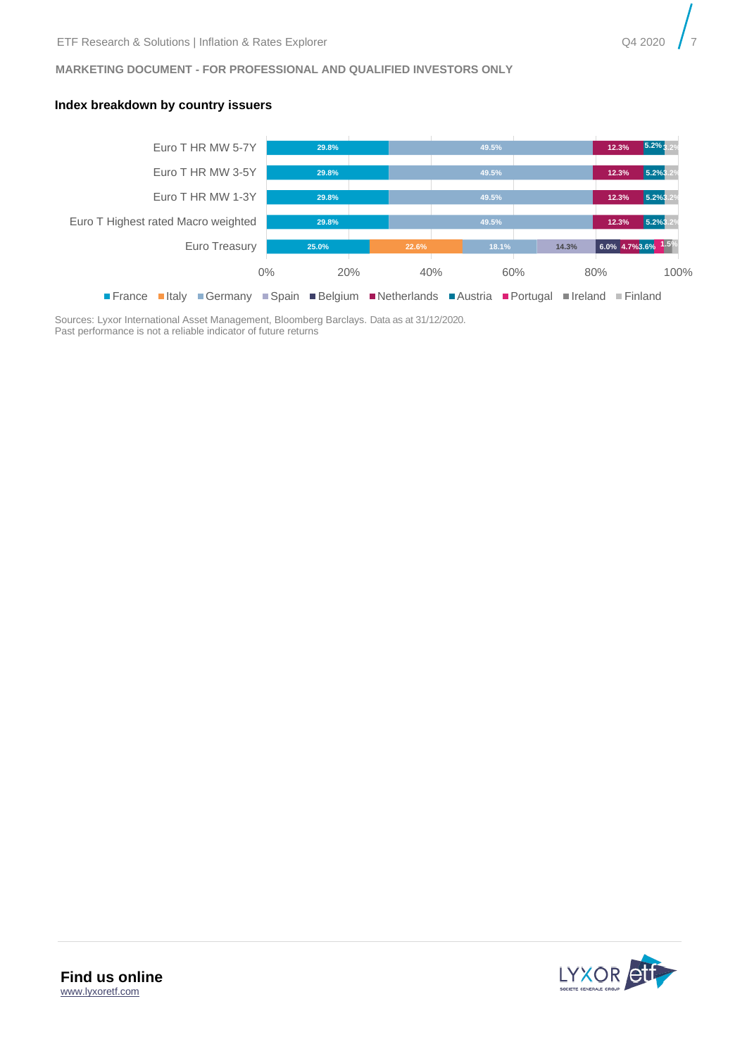

#### **Index breakdown by country issuers**



Sources: Lyxor International Asset Management, Bloomberg Barclays. Data as at 31/12/2020. Past performance is not a reliable indicator of future returns

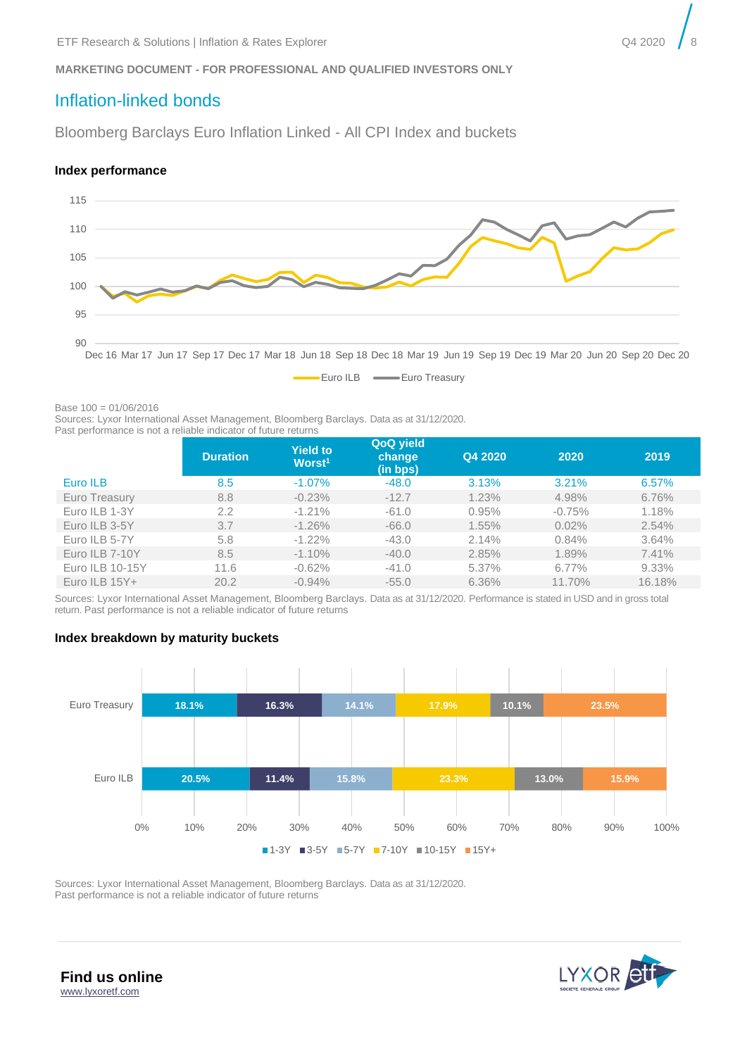# <span id="page-7-0"></span>Inflation-linked bonds

Bloomberg Barclays Euro Inflation Linked - All CPI Index and buckets

#### **Index performance**



Euro ILB **Euro ILB** 

Base 100 = 01/06/2016

Sources: Lyxor International Asset Management, Bloomberg Barclays. Data as at 31/12/2020. Past performance is not a reliable indicator of future returns

| as politication of the attended in andered the research to the control |                 |                                       |                                 |         |          |        |  |  |  |
|------------------------------------------------------------------------|-----------------|---------------------------------------|---------------------------------|---------|----------|--------|--|--|--|
|                                                                        | <b>Duration</b> | <b>Yield to</b><br>Worst <sup>1</sup> | QoQ yield<br>change<br>(in bps) | Q4 2020 | 2020     | 2019   |  |  |  |
| Euro ILB                                                               | 8.5             | $-1.07%$                              | $-48.0$                         | 3.13%   | 3.21%    | 6.57%  |  |  |  |
| Euro Treasury                                                          | 8.8             | $-0.23%$                              | $-12.7$                         | 1.23%   | 4.98%    | 6.76%  |  |  |  |
| Euro ILB 1-3Y                                                          | 2.2             | $-1.21%$                              | $-61.0$                         | 0.95%   | $-0.75%$ | 1.18%  |  |  |  |
| Euro ILB 3-5Y                                                          | 3.7             | $-1.26\%$                             | $-66.0$                         | 1.55%   | 0.02%    | 2.54%  |  |  |  |
| Euro ILB 5-7Y                                                          | 5.8             | $-1.22\%$                             | $-43.0$                         | 2.14%   | 0.84%    | 3.64%  |  |  |  |
| Euro ILB 7-10Y                                                         | 8.5             | $-1.10%$                              | $-40.0$                         | 2.85%   | 1.89%    | 7.41%  |  |  |  |
| Euro ILB 10-15Y                                                        | 11.6            | $-0.62%$                              | $-41.0$                         | 5.37%   | $6.77\%$ | 9.33%  |  |  |  |
| Euro ILB $15Y +$                                                       | 20.2            | $-0.94\%$                             | $-55.0$                         | 6.36%   | 11.70%   | 16.18% |  |  |  |

Sources: Lyxor International Asset Management, Bloomberg Barclays. Data as at 31/12/2020. Performance is stated in USD and in gross total return. Past performance is not a reliable indicator of future returns

#### **Index breakdown by maturity buckets**



Sources: Lyxor International Asset Management, Bloomberg Barclays. Data as at 31/12/2020. Past performance is not a reliable indicator of future returns

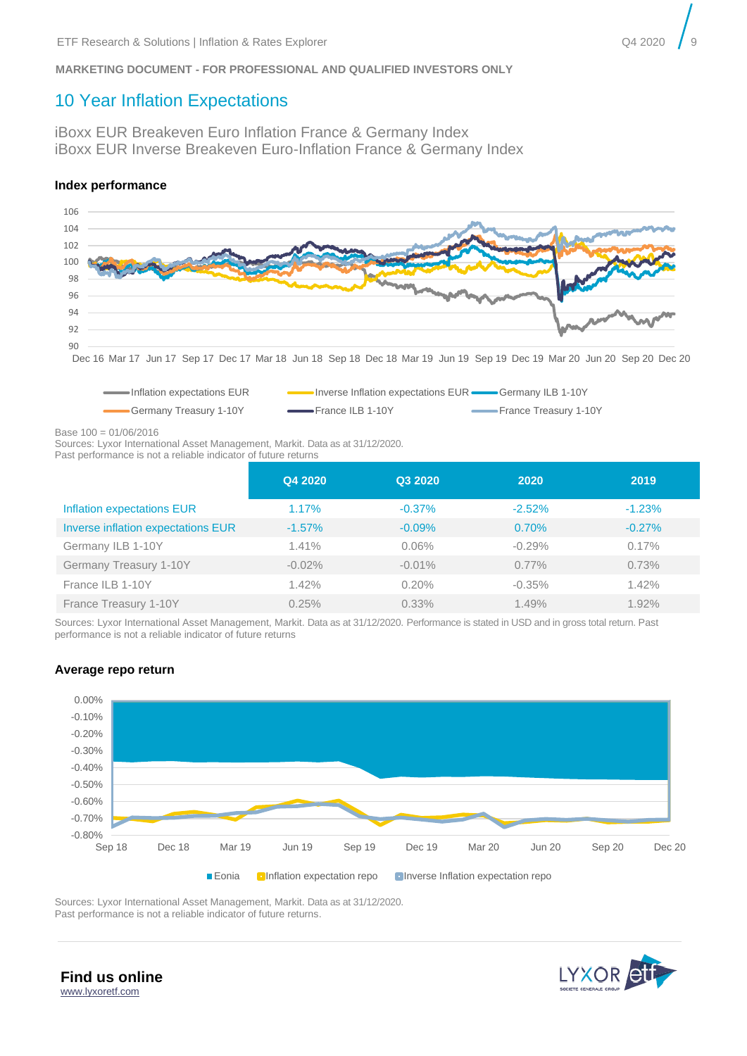# <span id="page-8-0"></span>10 Year Inflation Expectations

iBoxx EUR Breakeven Euro Inflation France & Germany Index iBoxx EUR Inverse Breakeven Euro-Inflation France & Germany Index

#### **Index performance**



Dec 16 Mar 17 Jun 17 Sep 17 Dec 17 Mar 18 Jun 18 Sep 18 Dec 18 Mar 19 Jun 19 Sep 19 Dec 19 Mar 20 Jun 20 Sep 20 Dec 20



Base 100 = 01/06/2016

Sources: Lyxor International Asset Management, Markit. Data as at 31/12/2020. Past performance is not a reliable indicator of future returns

|                                           | Q4 2020   | Q3 2020   | 2020     | 2019     |
|-------------------------------------------|-----------|-----------|----------|----------|
| Inflation expectations EUR                | 1.17%     | $-0.37%$  | $-2.52%$ | $-1.23%$ |
| <b>Inverse inflation expectations EUR</b> | $-1.57\%$ | $-0.09%$  | 0.70%    | $-0.27%$ |
| Germany ILB 1-10Y                         | 1.41%     | $0.06\%$  | $-0.29%$ | 0.17%    |
| Germany Treasury 1-10Y                    | $-0.02%$  | $-0.01\%$ | $0.77\%$ | 0.73%    |
| France ILB 1-10Y                          | 1.42%     | 0.20%     | $-0.35%$ | 1.42%    |
| France Treasury 1-10Y                     | 0.25%     | $0.33\%$  | 1.49%    | 1.92%    |

Sources: Lyxor International Asset Management, Markit. Data as at 31/12/2020. Performance is stated in USD and in gross total return. Past performance is not a reliable indicator of future returns

### **Average repo return**



Sources: Lyxor International Asset Management, Markit. Data as at 31/12/2020. Past performance is not a reliable indicator of future returns.



**Find us online** [www.lyxoretf.com](file://///EUR.MSD.WORLD.SOCGEN/groupdir/SGCIB/FR/LYXOR-ETF-RESSOL/research-and-solutions/1.publications/6.tactical-expert-view/Coronavirus/www.lyxoretf.com)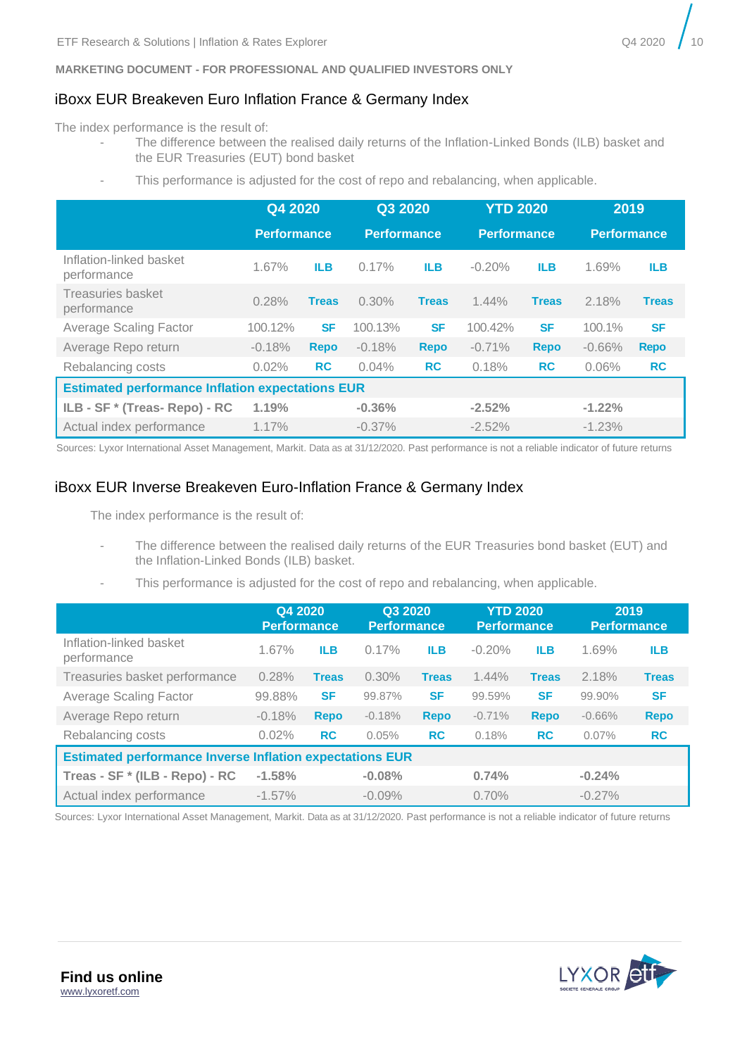# iBoxx EUR Breakeven Euro Inflation France & Germany Index

The index performance is the result of:

- The difference between the realised daily returns of the Inflation-Linked Bonds (ILB) basket and the EUR Treasuries (EUT) bond basket
- This performance is adjusted for the cost of repo and rebalancing, when applicable.

|                                                         | Q4 2020<br>Performance |              | Q3 2020<br><b>Performance</b> |              | <b>YTD 2020</b><br><b>Performance</b> |              | 2019<br><b>Performance</b> |              |
|---------------------------------------------------------|------------------------|--------------|-------------------------------|--------------|---------------------------------------|--------------|----------------------------|--------------|
| Inflation-linked basket<br>performance                  | 1.67%                  | <b>ILB</b>   | 0.17%                         | <b>ILB</b>   | $-0.20%$                              | <b>ILB</b>   | 1.69%                      | <b>ILB</b>   |
| Treasuries basket<br>performance                        | 0.28%                  | <b>Treas</b> | 0.30%                         | <b>Treas</b> | 1.44%                                 | <b>Treas</b> | 2.18%                      | <b>Treas</b> |
| <b>Average Scaling Factor</b>                           | 100.12%                | <b>SF</b>    | 100.13%                       | <b>SF</b>    | 100.42%                               | <b>SF</b>    | 100.1%                     | <b>SF</b>    |
| Average Repo return                                     | $-0.18%$               | <b>Repo</b>  | $-0.18%$                      | <b>Repo</b>  | $-0.71%$                              | <b>Repo</b>  | $-0.66%$                   | <b>Repo</b>  |
| Rebalancing costs                                       | 0.02%                  | <b>RC</b>    | 0.04%                         | <b>RC</b>    | 0.18%                                 | <b>RC</b>    | 0.06%                      | <b>RC</b>    |
| <b>Estimated performance Inflation expectations EUR</b> |                        |              |                               |              |                                       |              |                            |              |
| ILB - SF * (Treas- Repo) - RC                           | 1.19%                  |              | $-0.36%$                      |              | $-2.52%$                              |              | $-1.22%$                   |              |
| Actual index performance                                | 1.17%                  |              | $-0.37\%$                     |              | $-2.52%$                              |              | $-1.23%$                   |              |

Sources: Lyxor International Asset Management, Markit. Data as at 31/12/2020. Past performance is not a reliable indicator of future returns

# iBoxx EUR Inverse Breakeven Euro-Inflation France & Germany Index

The index performance is the result of:

- The difference between the realised daily returns of the EUR Treasuries bond basket (EUT) and the Inflation-Linked Bonds (ILB) basket.
- This performance is adjusted for the cost of repo and rebalancing, when applicable.

|                                                                 | Q4 2020<br><b>Performance</b> |              | Q3 2020<br><b>Performance</b> |              | <b>YTD 2020</b><br><b>Performance</b> |              | 2019<br><b>Performance</b> |              |  |
|-----------------------------------------------------------------|-------------------------------|--------------|-------------------------------|--------------|---------------------------------------|--------------|----------------------------|--------------|--|
| Inflation-linked basket<br>performance                          | 1.67%                         | <b>ILB</b>   | 0.17%                         | <b>ILB</b>   | $-0.20%$                              | <b>ILB</b>   | 1.69%                      | <b>ILB</b>   |  |
| Treasuries basket performance                                   | 0.28%                         | <b>Treas</b> | 0.30%                         | <b>Treas</b> | 1.44%                                 | <b>Treas</b> | 2.18%                      | <b>Treas</b> |  |
| Average Scaling Factor                                          | 99.88%                        | <b>SF</b>    | 99.87%                        | <b>SF</b>    | 99.59%                                | <b>SF</b>    | 99.90%                     | <b>SF</b>    |  |
| Average Repo return                                             | $-0.18%$                      | <b>Repo</b>  | $-0.18%$                      | <b>Repo</b>  | $-0.71%$                              | <b>Repo</b>  | $-0.66%$                   | <b>Repo</b>  |  |
| Rebalancing costs                                               | 0.02%                         | <b>RC</b>    | 0.05%                         | <b>RC</b>    | 0.18%                                 | <b>RC</b>    | 0.07%                      | <b>RC</b>    |  |
| <b>Estimated performance Inverse Inflation expectations EUR</b> |                               |              |                               |              |                                       |              |                            |              |  |
| Treas - SF * (ILB - Repo) - RC                                  | $-1.58%$                      |              | $-0.08%$                      |              | 0.74%                                 |              | $-0.24%$                   |              |  |
| Actual index performance                                        | $-1.57\%$                     |              | $-0.09%$                      |              | 0.70%                                 |              | $-0.27%$                   |              |  |

Sources: Lyxor International Asset Management, Markit. Data as at 31/12/2020. Past performance is not a reliable indicator of future returns

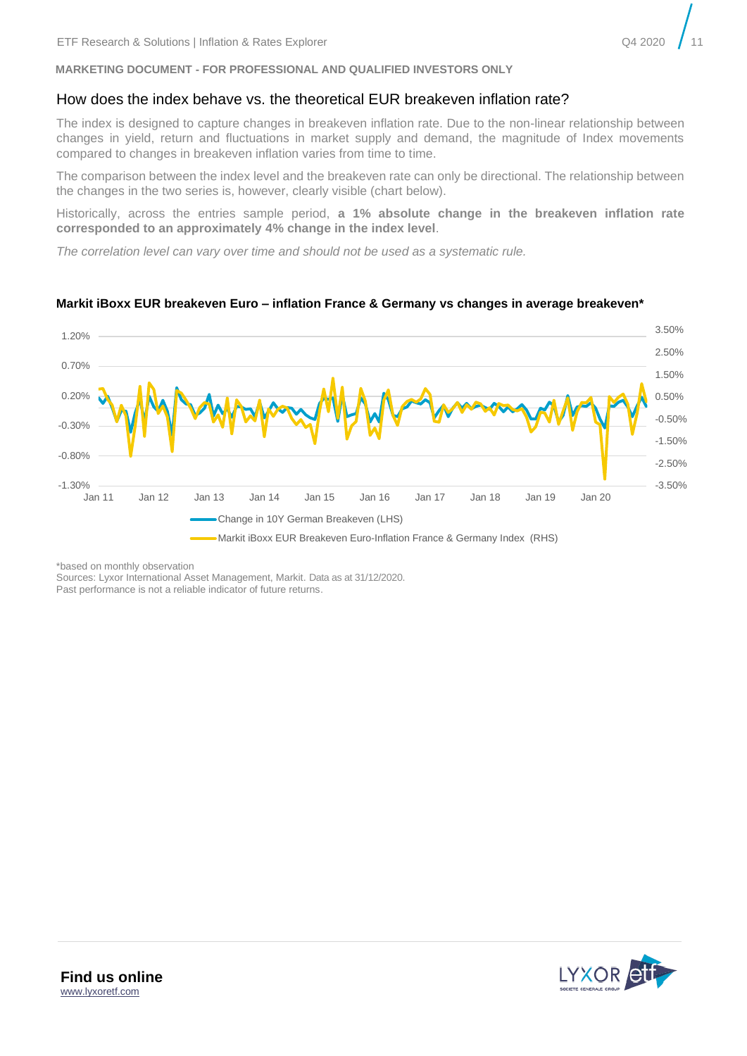### How does the index behave vs. the theoretical EUR breakeven inflation rate?

The index is designed to capture changes in breakeven inflation rate. Due to the non-linear relationship between changes in yield, return and fluctuations in market supply and demand, the magnitude of Index movements compared to changes in breakeven inflation varies from time to time.

The comparison between the index level and the breakeven rate can only be directional. The relationship between the changes in the two series is, however, clearly visible (chart below).

Historically, across the entries sample period, **a 1% absolute change in the breakeven inflation rate corresponded to an approximately 4% change in the index level**.

*The correlation level can vary over time and should not be used as a systematic rule.* 



#### **Markit iBoxx EUR breakeven Euro – inflation France & Germany vs changes in average breakeven\***

\*based on monthly observation

Sources: Lyxor International Asset Management, Markit. Data as at 31/12/2020. Past performance is not a reliable indicator of future returns.

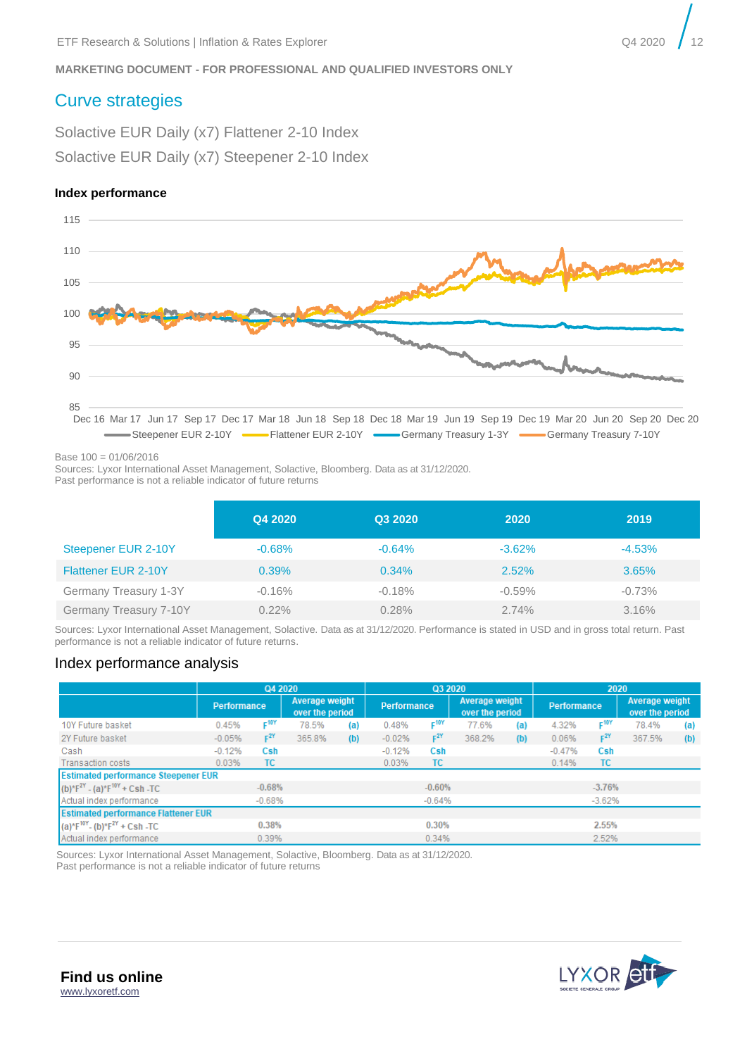# <span id="page-11-0"></span>Curve strategies

Solactive EUR Daily (x7) Flattener 2-10 Index Solactive EUR Daily (x7) Steepener 2-10 Index

#### **Index performance**



Base 100 = 01/06/2016

Sources: Lyxor International Asset Management, Solactive, Bloomberg. Data as at 31/12/2020.

Past performance is not a reliable indicator of future returns

|                            | Q4 2020  | Q3 2020  | 2020      | 2019     |
|----------------------------|----------|----------|-----------|----------|
| Steepener EUR 2-10Y        | $-0.68%$ | $-0.64%$ | $-3.62\%$ | $-4.53%$ |
| <b>Flattener EUR 2-10Y</b> | 0.39%    | $0.34\%$ | 2.52%     | 3.65%    |
| Germany Treasury 1-3Y      | $-0.16%$ | $-0.18%$ | $-0.59\%$ | $-0.73%$ |
| Germany Treasury 7-10Y     | $0.22\%$ | 0.28%    | $2.74\%$  | 3.16%    |

Sources: Lyxor International Asset Management, Solactive. Data as at 31/12/2020. Performance is stated in USD and in gross total return. Past performance is not a reliable indicator of future returns.

## Index performance analysis

|                                            | Q4 2020     |                  |                                   |     | Q3 2020            |                  |                                   | 2020 |                    |                  |                                   |     |
|--------------------------------------------|-------------|------------------|-----------------------------------|-----|--------------------|------------------|-----------------------------------|------|--------------------|------------------|-----------------------------------|-----|
|                                            | Performance |                  | Average weight<br>over the period |     | <b>Performance</b> |                  | Average weight<br>over the period |      | <b>Performance</b> |                  | Average weight<br>over the period |     |
| 10Y Future basket                          | 0.45%       | F <sup>10Y</sup> | 78.5%                             | (a) | 0.48%              | F <sup>10Y</sup> | 77.6%                             | (a)  | 4.32%              | F <sup>10Y</sup> | 78.4%                             | (a) |
| 2Y Future basket                           | $-0.05%$    | $F^{2Y}$         | 365.8%                            | (b) | $-0.02%$           | $F^{2Y}$         | 368.2%                            | (b)  | 0.06%              | $F^{2Y}$         | 367.5%                            | (b) |
| Cash                                       | $-0.12%$    | Csh              |                                   |     | $-0.12%$           | Csh              |                                   |      | $-0.47%$           | Csh              |                                   |     |
| <b>Transaction costs</b>                   | 0.03%       | TC.              |                                   |     | 0.03%              | ТC               |                                   |      | 0.14%              | <b>TC</b>        |                                   |     |
| <b>Estimated performance Steepener EUR</b> |             |                  |                                   |     |                    |                  |                                   |      |                    |                  |                                   |     |
| $(b)*F2Y - (a)*F10Y + Csh - TC$            |             | $-0.68%$         |                                   |     |                    | $-0.60%$         |                                   |      |                    | $-3.76%$         |                                   |     |
| Actual index performance                   |             | $-0.68%$         |                                   |     |                    | $-0.64%$         |                                   |      |                    | $-3.62%$         |                                   |     |
| <b>Estimated performance Flattener EUR</b> |             |                  |                                   |     |                    |                  |                                   |      |                    |                  |                                   |     |
| $(a)*F10Y - (b)*F2Y + Csh -TC$             |             | 0.38%            |                                   |     |                    | 0.30%            |                                   |      |                    | 2.55%            |                                   |     |
| Actual index performance                   |             | 0.39%            |                                   |     |                    | 0.34%            |                                   |      |                    | 2.52%            |                                   |     |

Sources: Lyxor International Asset Management, Solactive, Bloomberg. Data as at 31/12/2020. Past performance is not a reliable indicator of future returns

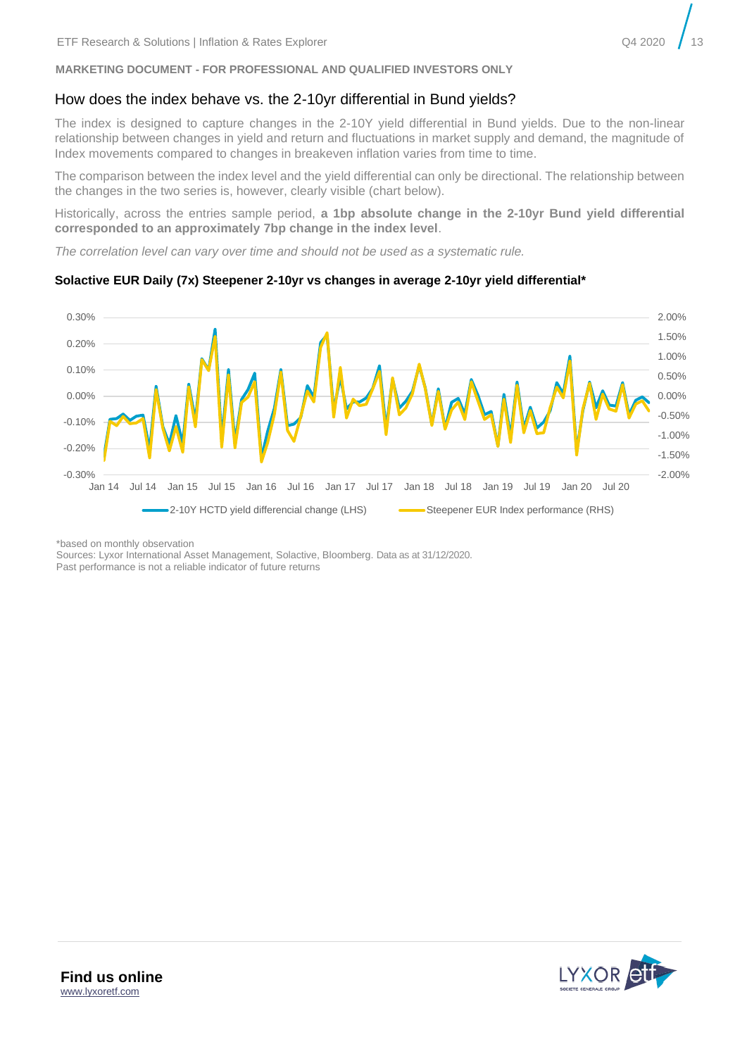## How does the index behave vs. the 2-10yr differential in Bund yields?

The index is designed to capture changes in the 2-10Y yield differential in Bund yields. Due to the non-linear relationship between changes in yield and return and fluctuations in market supply and demand, the magnitude of Index movements compared to changes in breakeven inflation varies from time to time.

The comparison between the index level and the yield differential can only be directional. The relationship between the changes in the two series is, however, clearly visible (chart below).

Historically, across the entries sample period, **a 1bp absolute change in the 2-10yr Bund yield differential corresponded to an approximately 7bp change in the index level**.

*The correlation level can vary over time and should not be used as a systematic rule.* 

#### -2.00% -1.50% -1.00% -0.50% 0.00% 0.50% 1.00% 1.50% 2.00% -0.30% -0.20% -0.10% 0.00% 0.10% 0.20% 0.30% Jan 14 Jul 14 Jan 15 Jul 15 Jan 16 Jul 16 Jan 17 Jul 17 Jan 18 Jul 18 Jan 19 Jul 19 Jan 20 Jul 20 2-10Y HCTD yield differencial change (LHS) Steepener EUR Index performance (RHS)

#### **Solactive EUR Daily (7x) Steepener 2-10yr vs changes in average 2-10yr yield differential\***

\*based on monthly observation

Sources: Lyxor International Asset Management, Solactive, Bloomberg. Data as at 31/12/2020. Past performance is not a reliable indicator of future returns

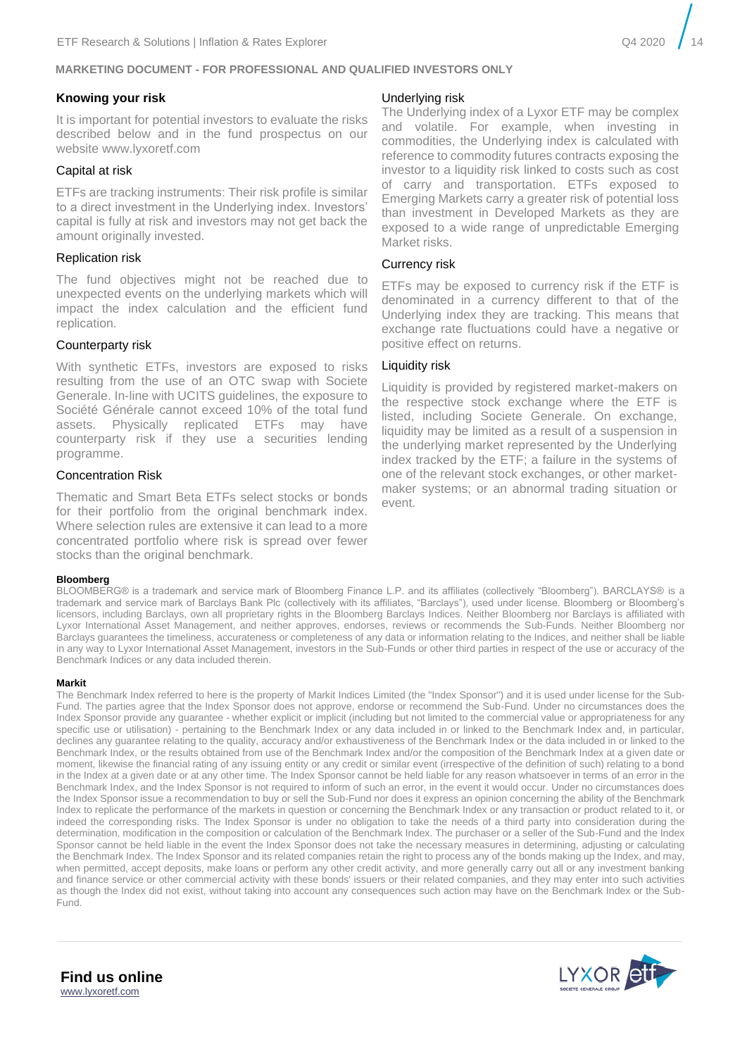#### **Knowing your risk**

It is important for potential investors to evaluate the risks described below and in the fund prospectus on our website www.lyxoretf.com

#### Capital at risk

ETFs are tracking instruments: Their risk profile is similar to a direct investment in the Underlying index. Investors' capital is fully at risk and investors may not get back the amount originally invested.

#### Replication risk

The fund objectives might not be reached due to unexpected events on the underlying markets which will impact the index calculation and the efficient fund replication.

#### Counterparty risk

With synthetic ETFs, investors are exposed to risks resulting from the use of an OTC swap with Societe Generale. In-line with UCITS guidelines, the exposure to Société Générale cannot exceed 10% of the total fund assets. Physically replicated ETFs may have counterparty risk if they use a securities lending programme.

#### Concentration Risk

Thematic and Smart Beta ETFs select stocks or bonds for their portfolio from the original benchmark index. Where selection rules are extensive it can lead to a more concentrated portfolio where risk is spread over fewer stocks than the original benchmark.

#### **Bloomberg**

#### BLOOMBERG® is a trademark and service mark of Bloomberg Finance L.P. and its affiliates (collectively "Bloomberg"). BARCLAYS® is a trademark and service mark of Barclays Bank Plc (collectively with its affiliates, "Barclays"), used under license. Bloomberg or Bloomberg's licensors, including Barclays, own all proprietary rights in the Bloomberg Barclays Indices. Neither Bloomberg nor Barclays is affiliated with Lyxor International Asset Management, and neither approves, endorses, reviews or recommends the Sub-Funds. Neither Bloomberg nor Barclays guarantees the timeliness, accurateness or completeness of any data or information relating to the Indices, and neither shall be liable in any way to Lyxor International Asset Management, investors in the Sub-Funds or other third parties in respect of the use or accuracy of the Benchmark Indices or any data included therein.

#### **Markit**

The Benchmark Index referred to here is the property of Markit Indices Limited (the "Index Sponsor") and it is used under license for the Sub-Fund. The parties agree that the Index Sponsor does not approve, endorse or recommend the Sub-Fund. Under no circumstances does the Index Sponsor provide any guarantee - whether explicit or implicit (including but not limited to the commercial value or appropriateness for any specific use or utilisation) - pertaining to the Benchmark Index or any data included in or linked to the Benchmark Index and, in particular, declines any guarantee relating to the quality, accuracy and/or exhaustiveness of the Benchmark Index or the data included in or linked to the Benchmark Index, or the results obtained from use of the Benchmark Index and/or the composition of the Benchmark Index at a given date or moment, likewise the financial rating of any issuing entity or any credit or similar event (irrespective of the definition of such) relating to a bond in the Index at a given date or at any other time. The Index Sponsor cannot be held liable for any reason whatsoever in terms of an error in the Benchmark Index, and the Index Sponsor is not required to inform of such an error, in the event it would occur. Under no circumstances does the Index Sponsor issue a recommendation to buy or sell the Sub-Fund nor does it express an opinion concerning the ability of the Benchmark Index to replicate the performance of the markets in question or concerning the Benchmark Index or any transaction or product related to it, or indeed the corresponding risks. The Index Sponsor is under no obligation to take the needs of a third party into consideration during the determination, modification in the composition or calculation of the Benchmark Index. The purchaser or a seller of the Sub-Fund and the Index Sponsor cannot be held liable in the event the Index Sponsor does not take the necessary measures in determining, adjusting or calculating the Benchmark Index. The Index Sponsor and its related companies retain the right to process any of the bonds making up the Index, and may, when permitted, accept deposits, make loans or perform any other credit activity, and more generally carry out all or any investment banking and finance service or other commercial activity with these bonds' issuers or their related companies, and they may enter into such activities as though the Index did not exist, without taking into account any consequences such action may have on the Benchmark Index or the Sub-Fund.

#### Underlying risk

The Underlying index of a Lyxor ETF may be complex and volatile. For example, when investing in commodities, the Underlying index is calculated with reference to commodity futures contracts exposing the investor to a liquidity risk linked to costs such as cost of carry and transportation. ETFs exposed to Emerging Markets carry a greater risk of potential loss than investment in Developed Markets as they are exposed to a wide range of unpredictable Emerging Market risks.

#### Currency risk

ETFs may be exposed to currency risk if the ETF is denominated in a currency different to that of the Underlying index they are tracking. This means that exchange rate fluctuations could have a negative or positive effect on returns.

#### Liquidity risk

Liquidity is provided by registered market-makers on the respective stock exchange where the ETF is listed, including Societe Generale. On exchange, liquidity may be limited as a result of a suspension in the underlying market represented by the Underlying index tracked by the ETF; a failure in the systems of one of the relevant stock exchanges, or other marketmaker systems; or an abnormal trading situation or event.



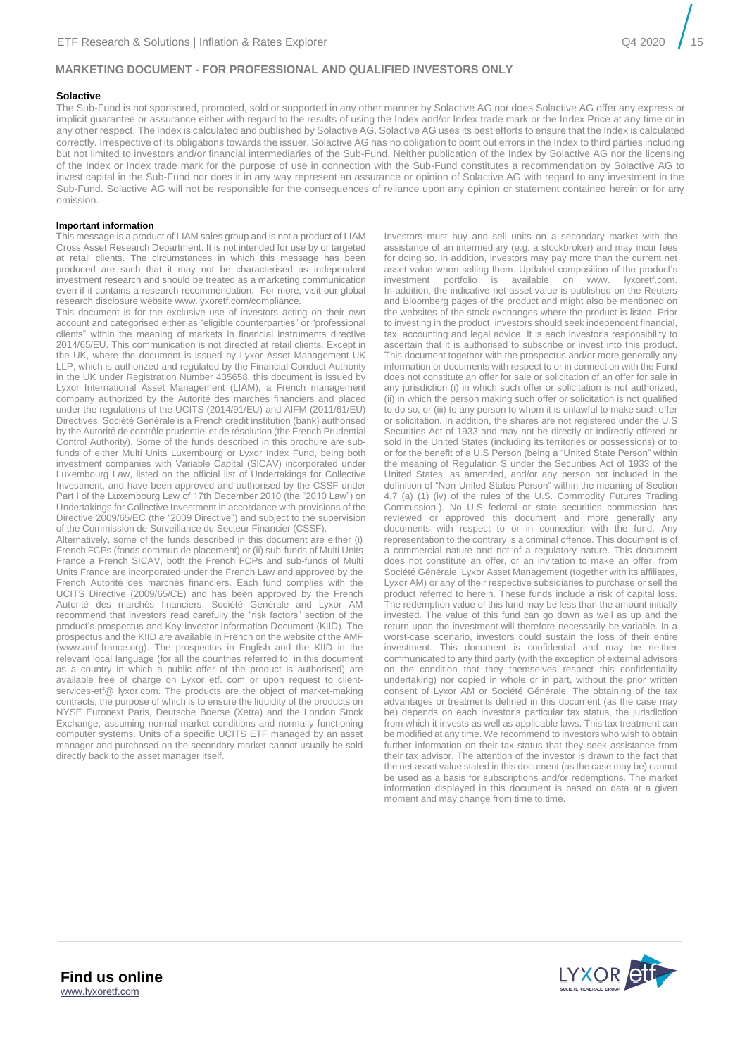#### **Solactive**

The Sub-Fund is not sponsored, promoted, sold or supported in any other manner by Solactive AG nor does Solactive AG offer any express or implicit guarantee or assurance either with regard to the results of using the Index and/or Index trade mark or the Index Price at any time or in any other respect. The Index is calculated and published by Solactive AG. Solactive AG uses its best efforts to ensure that the Index is calculated correctly. Irrespective of its obligations towards the issuer, Solactive AG has no obligation to point out errors in the Index to third parties including but not limited to investors and/or financial intermediaries of the Sub-Fund. Neither publication of the Index by Solactive AG nor the licensing of the Index or Index trade mark for the purpose of use in connection with the Sub-Fund constitutes a recommendation by Solactive AG to invest capital in the Sub-Fund nor does it in any way represent an assurance or opinion of Solactive AG with regard to any investment in the Sub-Fund. Solactive AG will not be responsible for the consequences of reliance upon any opinion or statement contained herein or for any omission.

#### **Important information**

This message is a product of LIAM sales group and is not a product of LIAM Cross Asset Research Department. It is not intended for use by or targeted at retail clients. The circumstances in which this message has been produced are such that it may not be characterised as independent investment research and should be treated as a marketing communication even if it contains a research recommendation. For more, visit our global research disclosure website www.lyxoretf.com/compliance.

This document is for the exclusive use of investors acting on their own account and categorised either as "eligible counterparties" or "professional clients" within the meaning of markets in financial instruments directive 2014/65/EU. This communication is not directed at retail clients. Except in the UK, where the document is issued by Lyxor Asset Management UK LLP, which is authorized and regulated by the Financial Conduct Authority in the UK under Registration Number 435658, this document is issued by Lyxor International Asset Management (LIAM), a French management company authorized by the Autorité des marchés financiers and placed under the regulations of the UCITS (2014/91/EU) and AIFM (2011/61/EU) Directives. Société Générale is a French credit institution (bank) authorised by the Autorité de contrôle prudentiel et de résolution (the French Prudential Control Authority). Some of the funds described in this brochure are subfunds of either Multi Units Luxembourg or Lyxor Index Fund, being both investment companies with Variable Capital (SICAV) incorporated under Luxembourg Law, listed on the official list of Undertakings for Collective Investment, and have been approved and authorised by the CSSF under Part I of the Luxembourg Law of 17th December 2010 (the "2010 Law") on Undertakings for Collective Investment in accordance with provisions of the Directive 2009/65/EC (the "2009 Directive") and subject to the supervision of the Commission de Surveillance du Secteur Financier (CSSF).

Alternatively, some of the funds described in this document are either (i) French FCPs (fonds commun de placement) or (ii) sub-funds of Multi Units France a French SICAV, both the French FCPs and sub-funds of Multi Units France are incorporated under the French Law and approved by the French Autorité des marchés financiers. Each fund complies with the UCITS Directive (2009/65/CE) and has been approved by the French Autorité des marchés financiers. Société Générale and Lyxor AM recommend that investors read carefully the "risk factors" section of the product's prospectus and Key Investor Information Document (KIID). The prospectus and the KIID are available in French on the website of the AMF (www.amf-france.org). The prospectus in English and the KIID in the relevant local language (for all the countries referred to, in this document as a country in which a public offer of the product is authorised) are available free of charge on Lyxor etf. com or upon request to clientservices-etf@ lyxor.com. The products are the object of market-making contracts, the purpose of which is to ensure the liquidity of the products on NYSE Euronext Paris, Deutsche Boerse (Xetra) and the London Stock Exchange, assuming normal market conditions and normally functioning computer systems. Units of a specific UCITS ETF managed by an asset manager and purchased on the secondary market cannot usually be sold directly back to the asset manager itself.

Investors must buy and sell units on a secondary market with the assistance of an intermediary (e.g. a stockbroker) and may incur fees for doing so. In addition, investors may pay more than the current net asset value when selling them. Updated composition of the product's investment portfolio is available on www. lyxoretf.com. In addition, the indicative net asset value is published on the Reuters and Bloomberg pages of the product and might also be mentioned on the websites of the stock exchanges where the product is listed. Prior to investing in the product, investors should seek independent financial, tax, accounting and legal advice. It is each investor's responsibility to ascertain that it is authorised to subscribe or invest into this product. This document together with the prospectus and/or more generally any information or documents with respect to or in connection with the Fund does not constitute an offer for sale or solicitation of an offer for sale in any jurisdiction (i) in which such offer or solicitation is not authorized, (ii) in which the person making such offer or solicitation is not qualified to do so, or (iii) to any person to whom it is unlawful to make such offer or solicitation. In addition, the shares are not registered under the U.S Securities Act of 1933 and may not be directly or indirectly offered or sold in the United States (including its territories or possessions) or to or for the benefit of a U.S Person (being a "United State Person" within the meaning of Regulation S under the Securities Act of 1933 of the United States, as amended, and/or any person not included in the definition of "Non-United States Person" within the meaning of Section 4.7 (a) (1) (iv) of the rules of the U.S. Commodity Futures Trading Commission.). No U.S federal or state securities commission has reviewed or approved this document and more generally any documents with respect to or in connection with the fund. Any representation to the contrary is a criminal offence. This document is of a commercial nature and not of a regulatory nature. This document does not constitute an offer, or an invitation to make an offer, from Société Générale, Lyxor Asset Management (together with its affiliates, Lyxor AM) or any of their respective subsidiaries to purchase or sell the product referred to herein. These funds include a risk of capital loss. The redemption value of this fund may be less than the amount initially invested. The value of this fund can go down as well as up and the return upon the investment will therefore necessarily be variable. In a worst-case scenario, investors could sustain the loss of their entire investment. This document is confidential and may be neither communicated to any third party (with the exception of external advisors on the condition that they themselves respect this confidentiality undertaking) nor copied in whole or in part, without the prior written consent of Lyxor AM or Société Générale. The obtaining of the tax advantages or treatments defined in this document (as the case may be) depends on each investor's particular tax status, the jurisdiction from which it invests as well as applicable laws. This tax treatment can be modified at any time. We recommend to investors who wish to obtain further information on their tax status that they seek assistance from their tax advisor. The attention of the investor is drawn to the fact that the net asset value stated in this document (as the case may be) cannot be used as a basis for subscriptions and/or redemptions. The market information displayed in this document is based on data at a given moment and may change from time to time.